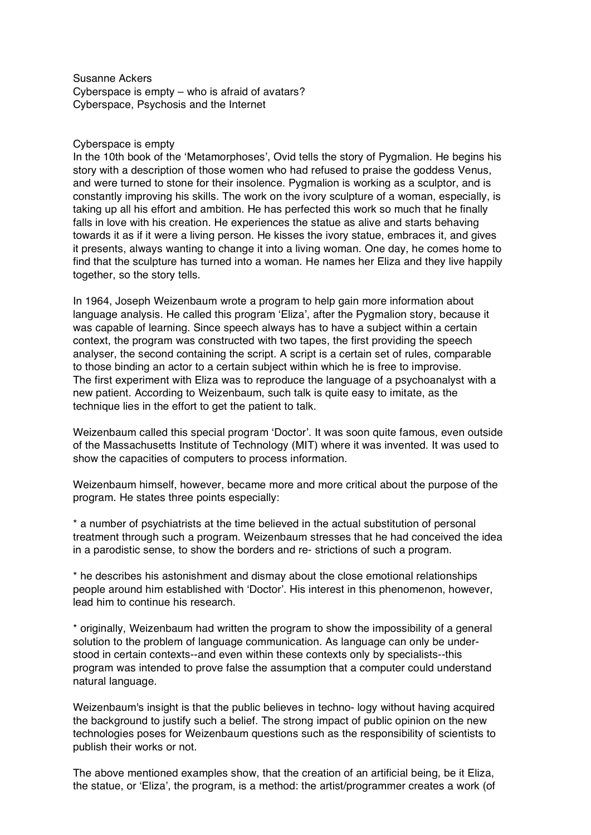Susanne Ackers Cyberspace is empty – who is afraid of avatars? Cyberspace, Psychosis and the Internet

## Cyberspace is empty

In the 10th book of the ʻMetamorphoses', Ovid tells the story of Pygmalion. He begins his story with a description of those women who had refused to praise the goddess Venus, and were turned to stone for their insolence. Pygmalion is working as a sculptor, and is constantly improving his skills. The work on the ivory sculpture of a woman, especially, is taking up all his effort and ambition. He has perfected this work so much that he finally falls in love with his creation. He experiences the statue as alive and starts behaving towards it as if it were a living person. He kisses the ivory statue, embraces it, and gives it presents, always wanting to change it into a living woman. One day, he comes home to find that the sculpture has turned into a woman. He names her Eliza and they live happily together, so the story tells.

In 1964, Joseph Weizenbaum wrote a program to help gain more information about language analysis. He called this program ʻEliza', after the Pygmalion story, because it was capable of learning. Since speech always has to have a subject within a certain context, the program was constructed with two tapes, the first providing the speech analyser, the second containing the script. A script is a certain set of rules, comparable to those binding an actor to a certain subject within which he is free to improvise. The first experiment with Eliza was to reproduce the language of a psychoanalyst with a new patient. According to Weizenbaum, such talk is quite easy to imitate, as the technique lies in the effort to get the patient to talk.

Weizenbaum called this special program ʻDoctor'. It was soon quite famous, even outside of the Massachusetts Institute of Technology (MIT) where it was invented. It was used to show the capacities of computers to process information.

Weizenbaum himself, however, became more and more critical about the purpose of the program. He states three points especially:

\* a number of psychiatrists at the time believed in the actual substitution of personal treatment through such a program. Weizenbaum stresses that he had conceived the idea in a parodistic sense, to show the borders and re- strictions of such a program.

\* he describes his astonishment and dismay about the close emotional relationships people around him established with ʻDoctor'. His interest in this phenomenon, however, lead him to continue his research.

\* originally, Weizenbaum had written the program to show the impossibility of a general solution to the problem of language communication. As language can only be understood in certain contexts--and even within these contexts only by specialists--this program was intended to prove false the assumption that a computer could understand natural language.

Weizenbaum's insight is that the public believes in techno- logy without having acquired the background to justify such a belief. The strong impact of public opinion on the new technologies poses for Weizenbaum questions such as the responsibility of scientists to publish their works or not.

The above mentioned examples show, that the creation of an artificial being, be it Eliza, the statue, or ʻEliza', the program, is a method: the artist/programmer creates a work (of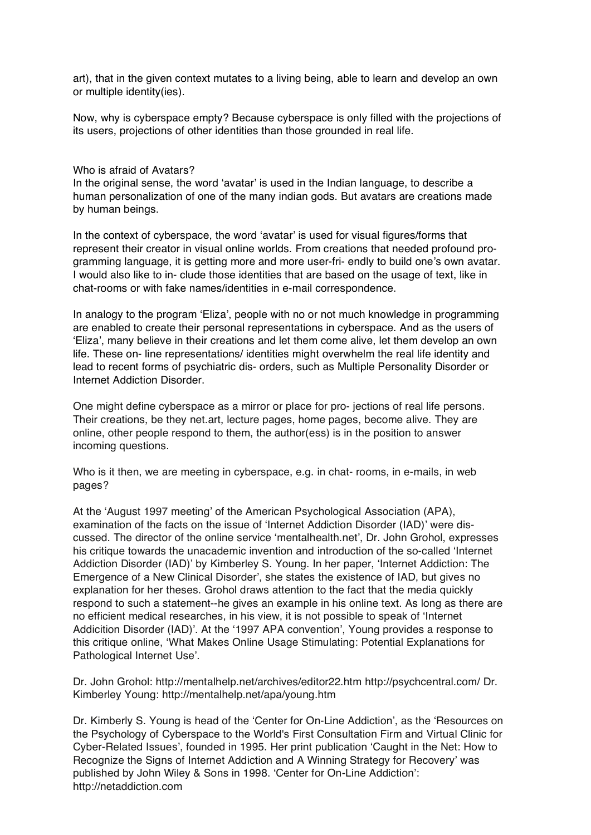art), that in the given context mutates to a living being, able to learn and develop an own or multiple identity(ies).

Now, why is cyberspace empty? Because cyberspace is only filled with the projections of its users, projections of other identities than those grounded in real life.

## Who is afraid of Avatars?

In the original sense, the word ʻavatar' is used in the Indian language, to describe a human personalization of one of the many indian gods. But avatars are creations made by human beings.

In the context of cyberspace, the word ʻavatar' is used for visual figures/forms that represent their creator in visual online worlds. From creations that needed profound programming language, it is getting more and more user-fri- endly to build one's own avatar. I would also like to in- clude those identities that are based on the usage of text, like in chat-rooms or with fake names/identities in e-mail correspondence.

In analogy to the program ʻEliza', people with no or not much knowledge in programming are enabled to create their personal representations in cyberspace. And as the users of ʻEliza', many believe in their creations and let them come alive, let them develop an own life. These on- line representations/ identities might overwhelm the real life identity and lead to recent forms of psychiatric dis- orders, such as Multiple Personality Disorder or Internet Addiction Disorder.

One might define cyberspace as a mirror or place for pro- jections of real life persons. Their creations, be they net.art, lecture pages, home pages, become alive. They are online, other people respond to them, the author(ess) is in the position to answer incoming questions.

Who is it then, we are meeting in cyberspace, e.g. in chat- rooms, in e-mails, in web pages?

At the ʻAugust 1997 meeting' of the American Psychological Association (APA), examination of the facts on the issue of ʻInternet Addiction Disorder (IAD)' were discussed. The director of the online service ʻmentalhealth.net', Dr. John Grohol, expresses his critique towards the unacademic invention and introduction of the so-called ʻInternet Addiction Disorder (IAD)' by Kimberley S. Young. In her paper, ʻInternet Addiction: The Emergence of a New Clinical Disorder', she states the existence of IAD, but gives no explanation for her theses. Grohol draws attention to the fact that the media quickly respond to such a statement--he gives an example in his online text. As long as there are no efficient medical researches, in his view, it is not possible to speak of ʻInternet Addicition Disorder (IAD)'. At the ʻ1997 APA convention', Young provides a response to this critique online, ʻWhat Makes Online Usage Stimulating: Potential Explanations for Pathological Internet Use'.

Dr. John Grohol: http://mentalhelp.net/archives/editor22.htm http://psychcentral.com/ Dr. Kimberley Young: http://mentalhelp.net/apa/young.htm

Dr. Kimberly S. Young is head of the ʻCenter for On-Line Addiction', as the ʻResources on the Psychology of Cyberspace to the World's First Consultation Firm and Virtual Clinic for Cyber-Related Issues', founded in 1995. Her print publication ʻCaught in the Net: How to Recognize the Signs of Internet Addiction and A Winning Strategy for Recovery' was published by John Wiley & Sons in 1998. ʻCenter for On-Line Addiction': http://netaddiction.com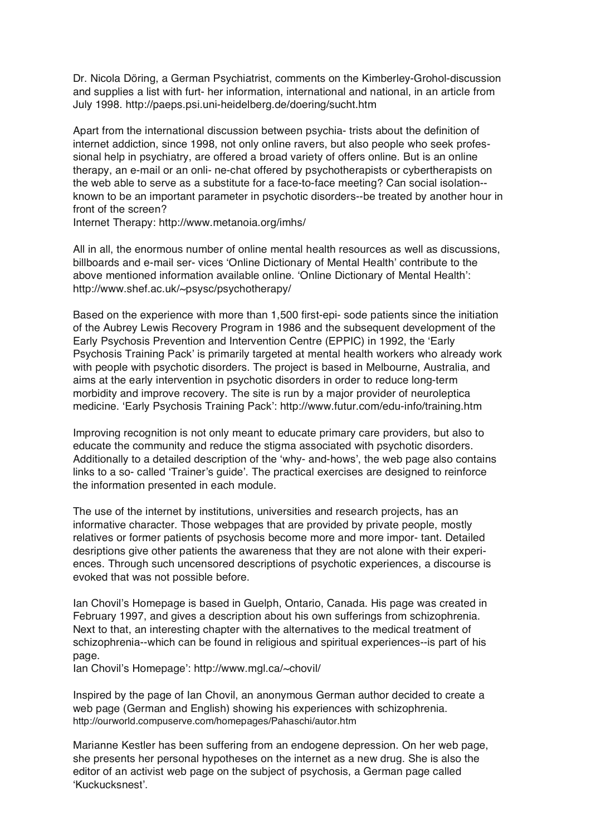Dr. Nicola Döring, a German Psychiatrist, comments on the Kimberley-Grohol-discussion and supplies a list with furt- her information, international and national, in an article from July 1998. http://paeps.psi.uni-heidelberg.de/doering/sucht.htm

Apart from the international discussion between psychia- trists about the definition of internet addiction, since 1998, not only online ravers, but also people who seek professional help in psychiatry, are offered a broad variety of offers online. But is an online therapy, an e-mail or an onli- ne-chat offered by psychotherapists or cybertherapists on the web able to serve as a substitute for a face-to-face meeting? Can social isolation- known to be an important parameter in psychotic disorders--be treated by another hour in front of the screen?

Internet Therapy: http://www.metanoia.org/imhs/

All in all, the enormous number of online mental health resources as well as discussions, billboards and e-mail ser- vices ʻOnline Dictionary of Mental Health' contribute to the above mentioned information available online. ʻOnline Dictionary of Mental Health': http://www.shef.ac.uk/~psysc/psychotherapy/

Based on the experience with more than 1,500 first-epi- sode patients since the initiation of the Aubrey Lewis Recovery Program in 1986 and the subsequent development of the Early Psychosis Prevention and Intervention Centre (EPPIC) in 1992, the ʻEarly Psychosis Training Pack' is primarily targeted at mental health workers who already work with people with psychotic disorders. The project is based in Melbourne, Australia, and aims at the early intervention in psychotic disorders in order to reduce long-term morbidity and improve recovery. The site is run by a major provider of neuroleptica medicine. ʻEarly Psychosis Training Pack': http://www.futur.com/edu-info/training.htm

Improving recognition is not only meant to educate primary care providers, but also to educate the community and reduce the stigma associated with psychotic disorders. Additionally to a detailed description of the ʻwhy- and-hows', the web page also contains links to a so- called ʻTrainer's guide'. The practical exercises are designed to reinforce the information presented in each module.

The use of the internet by institutions, universities and research projects, has an informative character. Those webpages that are provided by private people, mostly relatives or former patients of psychosis become more and more impor- tant. Detailed desriptions give other patients the awareness that they are not alone with their experiences. Through such uncensored descriptions of psychotic experiences, a discourse is evoked that was not possible before.

Ian Chovil's Homepage is based in Guelph, Ontario, Canada. His page was created in February 1997, and gives a description about his own sufferings from schizophrenia. Next to that, an interesting chapter with the alternatives to the medical treatment of schizophrenia--which can be found in religious and spiritual experiences--is part of his page.

Ian Chovil's Homepage': http://www.mgl.ca/~chovil/

Inspired by the page of Ian Chovil, an anonymous German author decided to create a web page (German and English) showing his experiences with schizophrenia. http://ourworld.compuserve.com/homepages/Pahaschi/autor.htm

Marianne Kestler has been suffering from an endogene depression. On her web page, she presents her personal hypotheses on the internet as a new drug. She is also the editor of an activist web page on the subject of psychosis, a German page called ʻKuckucksnest'.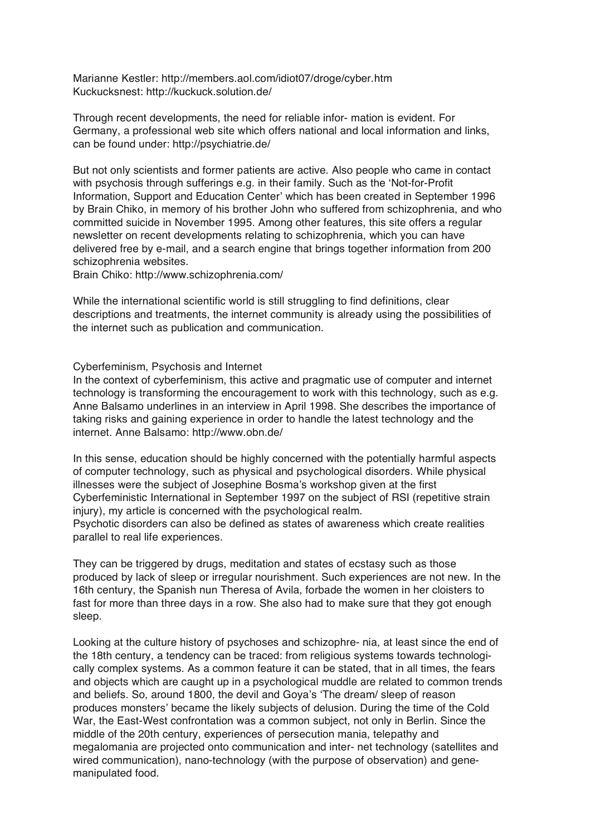Marianne Kestler: http://members.aol.com/idiot07/droge/cyber.htm Kuckucksnest: http://kuckuck.solution.de/

Through recent developments, the need for reliable infor- mation is evident. For Germany, a professional web site which offers national and local information and links, can be found under: http://psychiatrie.de/

But not only scientists and former patients are active. Also people who came in contact with psychosis through sufferings e.g. in their family. Such as the ʻNot-for-Profit Information, Support and Education Center' which has been created in September 1996 by Brain Chiko, in memory of his brother John who suffered from schizophrenia, and who committed suicide in November 1995. Among other features, this site offers a regular newsletter on recent developments relating to schizophrenia, which you can have delivered free by e-mail, and a search engine that brings together information from 200 schizophrenia websites.

Brain Chiko: http://www.schizophrenia.com/

While the international scientific world is still struggling to find definitions, clear descriptions and treatments, the internet community is already using the possibilities of the internet such as publication and communication.

## Cyberfeminism, Psychosis and Internet

In the context of cyberfeminism, this active and pragmatic use of computer and internet technology is transforming the encouragement to work with this technology, such as e.g. Anne Balsamo underlines in an interview in April 1998. She describes the importance of taking risks and gaining experience in order to handle the latest technology and the internet. Anne Balsamo: http://www.obn.de/

In this sense, education should be highly concerned with the potentially harmful aspects of computer technology, such as physical and psychological disorders. While physical illnesses were the subject of Josephine Bosma's workshop given at the first Cyberfeministic International in September 1997 on the subject of RSI (repetitive strain injury), my article is concerned with the psychological realm.

Psychotic disorders can also be defined as states of awareness which create realities parallel to real life experiences.

They can be triggered by drugs, meditation and states of ecstasy such as those produced by lack of sleep or irregular nourishment. Such experiences are not new. In the 16th century, the Spanish nun Theresa of Avila, forbade the women in her cloisters to fast for more than three days in a row. She also had to make sure that they got enough sleep.

Looking at the culture history of psychoses and schizophre- nia, at least since the end of the 18th century, a tendency can be traced: from religious systems towards technologically complex systems. As a common feature it can be stated, that in all times, the fears and objects which are caught up in a psychological muddle are related to common trends and beliefs. So, around 1800, the devil and Goya's ʻThe dream/ sleep of reason produces monsters' became the likely subjects of delusion. During the time of the Cold War, the East-West confrontation was a common subject, not only in Berlin. Since the middle of the 20th century, experiences of persecution mania, telepathy and megalomania are projected onto communication and inter- net technology (satellites and wired communication), nano-technology (with the purpose of observation) and genemanipulated food.